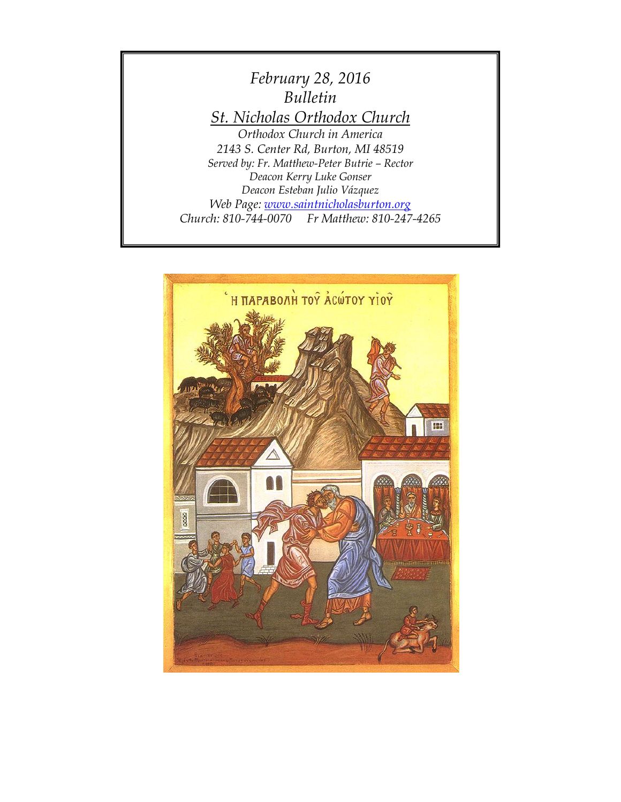

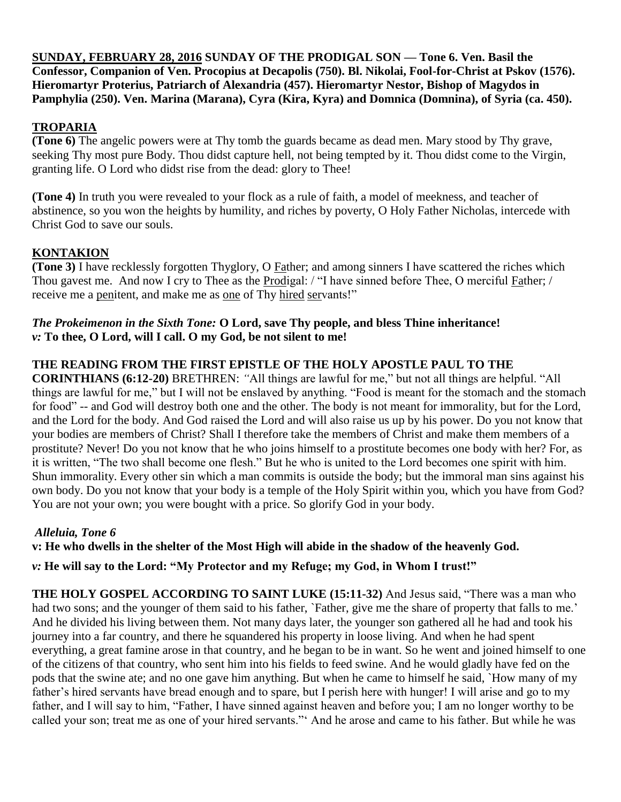**SUNDAY, FEBRUARY 28, 2016 SUNDAY OF THE PRODIGAL SON — Tone 6. Ven. Basil the Confessor, Companion of Ven. Procopius at Decapolis (750). Bl. Nikolai, Fool-for-Christ at Pskov (1576). Hieromartyr Proterius, Patriarch of Alexandria (457). Hieromartyr Nestor, Bishop of Magydos in Pamphylia (250). Ven. Marina (Marana), Cyra (Kira, Kyra) and Domnica (Domnina), of Syria (ca. 450).**

## **TROPARIA**

**(Tone 6)** The angelic powers were at Thy tomb the guards became as dead men. Mary stood by Thy grave, seeking Thy most pure Body. Thou didst capture hell, not being tempted by it. Thou didst come to the Virgin, granting life. O Lord who didst rise from the dead: glory to Thee!

**(Tone 4)** In truth you were revealed to your flock as a rule of faith, a model of meekness, and teacher of abstinence, so you won the heights by humility, and riches by poverty, O Holy Father Nicholas, intercede with Christ God to save our souls.

## **KONTAKION**

**(Tone 3)** I have recklessly forgotten Thyglory, O Father; and among sinners I have scattered the riches which Thou gavest me. And now I cry to Thee as the Prodigal: / "I have sinned before Thee, O merciful Father; / receive me a penitent, and make me as one of Thy hired servants!"

## *The Prokeimenon in the Sixth Tone:* **O Lord, save Thy people, and bless Thine inheritance!** *v:* **To thee, O Lord, will I call. O my God, be not silent to me!**

# **THE READING FROM THE FIRST EPISTLE OF THE HOLY APOSTLE PAUL TO THE**

**CORINTHIANS (6:12-20)** BRETHREN: *"*All things are lawful for me," but not all things are helpful. "All things are lawful for me," but I will not be enslaved by anything. "Food is meant for the stomach and the stomach for food" -- and God will destroy both one and the other. The body is not meant for immorality, but for the Lord, and the Lord for the body. And God raised the Lord and will also raise us up by his power. Do you not know that your bodies are members of Christ? Shall I therefore take the members of Christ and make them members of a prostitute? Never! Do you not know that he who joins himself to a prostitute becomes one body with her? For, as it is written, "The two shall become one flesh." But he who is united to the Lord becomes one spirit with him. Shun immorality. Every other sin which a man commits is outside the body; but the immoral man sins against his own body. Do you not know that your body is a temple of the Holy Spirit within you, which you have from God? You are not your own; you were bought with a price. So glorify God in your body.

## *Alleluia, Tone 6*

**v: He who dwells in the shelter of the Most High will abide in the shadow of the heavenly God.**

*v:* **He will say to the Lord: "My Protector and my Refuge; my God, in Whom I trust!"**

**THE HOLY GOSPEL ACCORDING TO SAINT LUKE (15:11-32)** And Jesus said, "There was a man who had two sons; and the younger of them said to his father, `Father, give me the share of property that falls to me.' And he divided his living between them. Not many days later, the younger son gathered all he had and took his journey into a far country, and there he squandered his property in loose living. And when he had spent everything, a great famine arose in that country, and he began to be in want. So he went and joined himself to one of the citizens of that country, who sent him into his fields to feed swine. And he would gladly have fed on the pods that the swine ate; and no one gave him anything. But when he came to himself he said, `How many of my father's hired servants have bread enough and to spare, but I perish here with hunger! I will arise and go to my father, and I will say to him, "Father, I have sinned against heaven and before you; I am no longer worthy to be called your son; treat me as one of your hired servants."' And he arose and came to his father. But while he was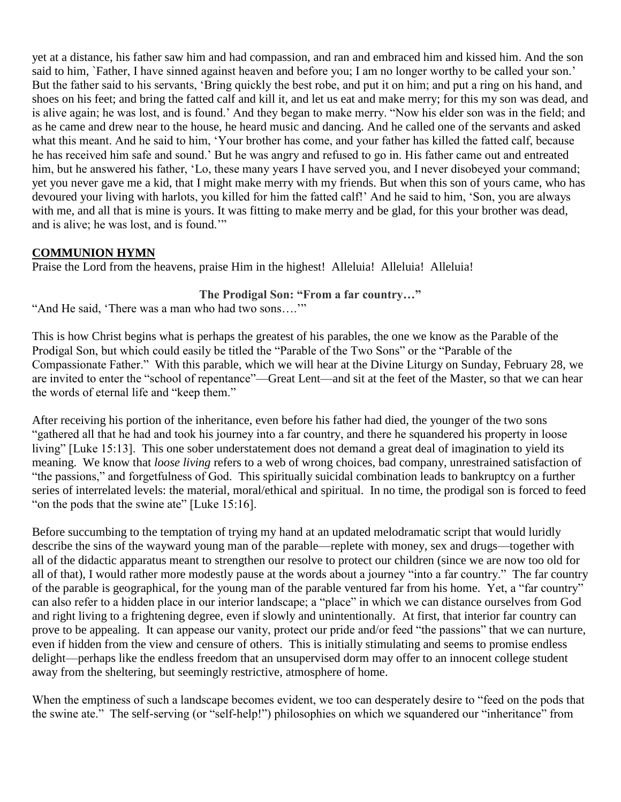yet at a distance, his father saw him and had compassion, and ran and embraced him and kissed him. And the son said to him, `Father, I have sinned against heaven and before you; I am no longer worthy to be called your son.' But the father said to his servants, 'Bring quickly the best robe, and put it on him; and put a ring on his hand, and shoes on his feet; and bring the fatted calf and kill it, and let us eat and make merry; for this my son was dead, and is alive again; he was lost, and is found.' And they began to make merry. "Now his elder son was in the field; and as he came and drew near to the house, he heard music and dancing. And he called one of the servants and asked what this meant. And he said to him, 'Your brother has come, and your father has killed the fatted calf, because he has received him safe and sound.' But he was angry and refused to go in. His father came out and entreated him, but he answered his father, 'Lo, these many years I have served you, and I never disobeyed your command; yet you never gave me a kid, that I might make merry with my friends. But when this son of yours came, who has devoured your living with harlots, you killed for him the fatted calf!' And he said to him, 'Son, you are always with me, and all that is mine is yours. It was fitting to make merry and be glad, for this your brother was dead, and is alive; he was lost, and is found.'"

## **COMMUNION HYMN**

Praise the Lord from the heavens, praise Him in the highest! Alleluia! Alleluia! Alleluia!

## **The Prodigal Son: "From a far country…"**

"And He said, 'There was a man who had two sons….'"

This is how Christ begins what is perhaps the greatest of his parables, the one we know as the Parable of the Prodigal Son, but which could easily be titled the "Parable of the Two Sons" or the "Parable of the Compassionate Father." With this parable, which we will hear at the Divine Liturgy on Sunday, February 28, we are invited to enter the "school of repentance"—Great Lent—and sit at the feet of the Master, so that we can hear the words of eternal life and "keep them."

After receiving his portion of the inheritance, even before his father had died, the younger of the two sons "gathered all that he had and took his journey into a far country, and there he squandered his property in loose living" [Luke 15:13]. This one sober understatement does not demand a great deal of imagination to yield its meaning. We know that *loose living* refers to a web of wrong choices, bad company, unrestrained satisfaction of "the passions," and forgetfulness of God. This spiritually suicidal combination leads to bankruptcy on a further series of interrelated levels: the material, moral/ethical and spiritual. In no time, the prodigal son is forced to feed "on the pods that the swine ate" [Luke 15:16].

Before succumbing to the temptation of trying my hand at an updated melodramatic script that would luridly describe the sins of the wayward young man of the parable—replete with money, sex and drugs—together with all of the didactic apparatus meant to strengthen our resolve to protect our children (since we are now too old for all of that), I would rather more modestly pause at the words about a journey "into a far country." The far country of the parable is geographical, for the young man of the parable ventured far from his home. Yet, a "far country" can also refer to a hidden place in our interior landscape; a "place" in which we can distance ourselves from God and right living to a frightening degree, even if slowly and unintentionally. At first, that interior far country can prove to be appealing. It can appease our vanity, protect our pride and/or feed "the passions" that we can nurture, even if hidden from the view and censure of others. This is initially stimulating and seems to promise endless delight—perhaps like the endless freedom that an unsupervised dorm may offer to an innocent college student away from the sheltering, but seemingly restrictive, atmosphere of home.

When the emptiness of such a landscape becomes evident, we too can desperately desire to "feed on the pods that the swine ate." The self-serving (or "self-help!") philosophies on which we squandered our "inheritance" from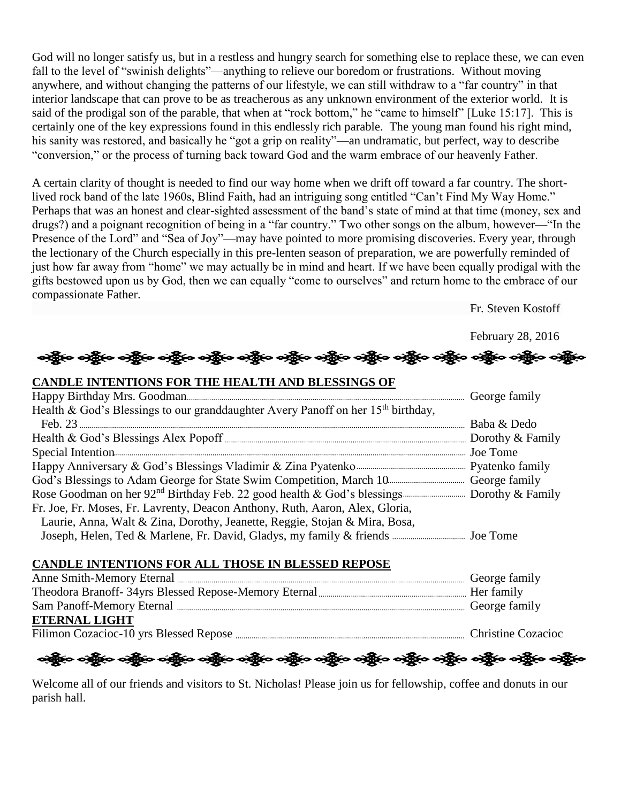God will no longer satisfy us, but in a restless and hungry search for something else to replace these, we can even fall to the level of "swinish delights"—anything to relieve our boredom or frustrations. Without moving anywhere, and without changing the patterns of our lifestyle, we can still withdraw to a "far country" in that interior landscape that can prove to be as treacherous as any unknown environment of the exterior world. It is said of the prodigal son of the parable, that when at "rock bottom," he "came to himself" [Luke 15:17]. This is certainly one of the key expressions found in this endlessly rich parable. The young man found his right mind, his sanity was restored, and basically he "got a grip on reality"—an undramatic, but perfect, way to describe "conversion," or the process of turning back toward God and the warm embrace of our heavenly Father.

A certain clarity of thought is needed to find our way home when we drift off toward a far country. The shortlived rock band of the late 1960s, Blind Faith, had an intriguing song entitled "Can't Find My Way Home." Perhaps that was an honest and clear-sighted assessment of the band's state of mind at that time (money, sex and drugs?) and a poignant recognition of being in a "far country." Two other songs on the album, however—"In the Presence of the Lord" and "Sea of Joy"—may have pointed to more promising discoveries. Every year, through the lectionary of the Church especially in this pre-lenten season of preparation, we are powerfully reminded of just how far away from "home" we may actually be in mind and heart. If we have been equally prodigal with the gifts bestowed upon us by God, then we can equally "come to ourselves" and return home to the embrace of our compassionate Father.

Fr. Steven Kostoff

February 28, 2016

# 

### **CANDLE INTENTIONS FOR THE HEALTH AND BLESSINGS OF**

| Health & God's Blessings to our granddaughter Avery Panoff on her 15 <sup>th</sup> birthday, |  |
|----------------------------------------------------------------------------------------------|--|
|                                                                                              |  |
|                                                                                              |  |
|                                                                                              |  |
|                                                                                              |  |
|                                                                                              |  |
|                                                                                              |  |
| Fr. Joe, Fr. Moses, Fr. Lavrenty, Deacon Anthony, Ruth, Aaron, Alex, Gloria,                 |  |
| Laurie, Anna, Walt & Zina, Dorothy, Jeanette, Reggie, Stojan & Mira, Bosa,                   |  |
|                                                                                              |  |

### **CANDLE INTENTIONS FOR ALL THOSE IN BLESSED REPOSE**

| <b>ETERNAL LIGHT</b> |  |
|----------------------|--|
|                      |  |
|                      |  |

လူမြို့လေးတို့မှာ ဝတ္ထိမှာ ဝတ္ထိမှာ ဝတ္ထိမှာ ဝတ္ထိမှာ ဝတ္ထိမှာ ဝတ္ထိမှာ ဝတ္ထိမှာ ဝတ္ထိမှာ ဝတ္ထိမှာ ဝတ္ထိမှာ ဝတ

Welcome all of our friends and visitors to St. Nicholas! Please join us for fellowship, coffee and donuts in our parish hall.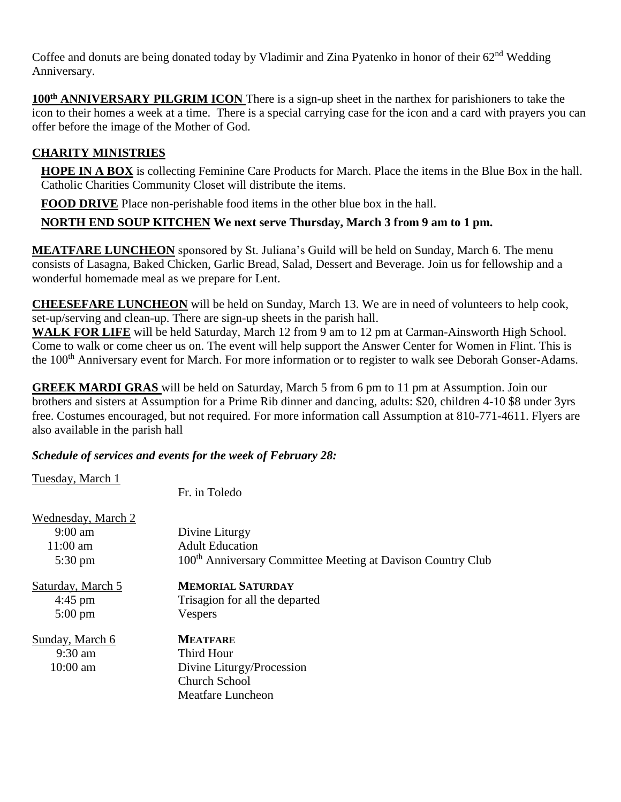Coffee and donuts are being donated today by Vladimir and Zina Pyatenko in honor of their  $62<sup>nd</sup>$  Wedding Anniversary.

100<sup>th</sup> **ANNIVERSARY PILGRIM ICON** There is a sign-up sheet in the narthex for parishioners to take the icon to their homes a week at a time. There is a special carrying case for the icon and a card with prayers you can offer before the image of the Mother of God.

# **CHARITY MINISTRIES**

**HOPE IN A BOX** is collecting Feminine Care Products for March. Place the items in the Blue Box in the hall. Catholic Charities Community Closet will distribute the items.

**FOOD DRIVE** Place non-perishable food items in the other blue box in the hall.

# **NORTH END SOUP KITCHEN We next serve Thursday, March 3 from 9 am to 1 pm.**

**MEATFARE LUNCHEON** sponsored by St. Juliana's Guild will be held on Sunday, March 6. The menu consists of Lasagna, Baked Chicken, Garlic Bread, Salad, Dessert and Beverage. Join us for fellowship and a wonderful homemade meal as we prepare for Lent.

**CHEESEFARE LUNCHEON** will be held on Sunday, March 13. We are in need of volunteers to help cook, set-up/serving and clean-up. There are sign-up sheets in the parish hall.

WALK FOR LIFE will be held Saturday, March 12 from 9 am to 12 pm at Carman-Ainsworth High School. Come to walk or come cheer us on. The event will help support the Answer Center for Women in Flint. This is the 100th Anniversary event for March. For more information or to register to walk see Deborah Gonser-Adams.

**GREEK MARDI GRAS** will be held on Saturday, March 5 from 6 pm to 11 pm at Assumption. Join our brothers and sisters at Assumption for a Prime Rib dinner and dancing, adults: \$20, children 4-10 \$8 under 3yrs free. Costumes encouraged, but not required. For more information call Assumption at 810-771-4611. Flyers are also available in the parish hall

## *Schedule of services and events for the week of February 28:*

Tuesday, March 1

Fr. in Toledo

| Wednesday, March 2 |                                                                         |
|--------------------|-------------------------------------------------------------------------|
| $9:00 \text{ am}$  | Divine Liturgy                                                          |
| $11:00 \text{ am}$ | <b>Adult Education</b>                                                  |
| $5:30 \text{ pm}$  | 100 <sup>th</sup> Anniversary Committee Meeting at Davison Country Club |
| Saturday, March 5  | <b>MEMORIAL SATURDAY</b>                                                |
| $4:45$ pm          | Trisagion for all the departed                                          |
| $5:00 \text{ pm}$  | Vespers                                                                 |
| Sunday, March 6    | <b>MEATFARE</b>                                                         |
| $9:30$ am          | Third Hour                                                              |
| $10:00$ am         | Divine Liturgy/Procession                                               |
|                    | <b>Church School</b>                                                    |
|                    | Meatfare Luncheon                                                       |
|                    |                                                                         |